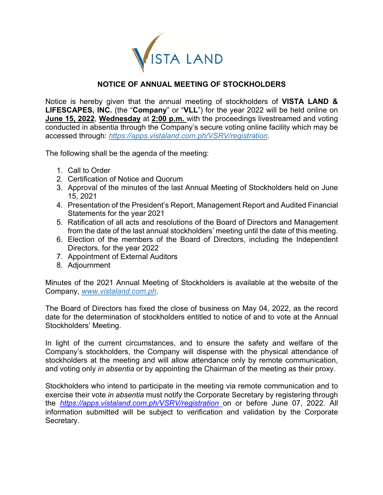

## **NOTICE OF ANNUAL MEETING OF STOCKHOLDERS**

Notice is hereby given that the annual meeting of stockholders of **VISTA LAND & LIFESCAPES, INC.** (the "**Company**" or "**VLL**") for the year 2022 will be held online on **June 15, 2022**, **Wednesday** at **2:00 p.m.** with the proceedings livestreamed and voting conducted in absentia through the Company's secure voting online facility which may be accessed through: *https://apps.vistaland.com.ph/VSRV/registration*.

The following shall be the agenda of the meeting:

- 1. Call to Order
- 2. Certification of Notice and Quorum
- 3. Approval of the minutes of the last Annual Meeting of Stockholders held on June 15, 2021
- 4. Presentation of the President's Report, Management Report and Audited Financial Statements for the year 2021
- 5. Ratification of all acts and resolutions of the Board of Directors and Management from the date of the last annual stockholders' meeting until the date of this meeting.
- 6. Election of the members of the Board of Directors, including the Independent Directors, for the year 2022
- 7. Appointment of External Auditors
- 8. Adjournment

Minutes of the 2021 Annual Meeting of Stockholders is available at the website of the Company, *www.vistaland.com.ph*.

The Board of Directors has fixed the close of business on May 04, 2022, as the record date for the determination of stockholders entitled to notice of and to vote at the Annual Stockholders' Meeting.

In light of the current circumstances, and to ensure the safety and welfare of the Company's stockholders, the Company will dispense with the physical attendance of stockholders at the meeting and will allow attendance only by remote communication, and voting only *in absentia* or by appointing the Chairman of the meeting as their proxy.

Stockholders who intend to participate in the meeting via remote communication and to exercise their vote *in absentia* must notify the Corporate Secretary by registering through the *https://apps.vistaland.com.ph/VSRV/registration* on or before June 07, 2022. All information submitted will be subject to verification and validation by the Corporate Secretary.